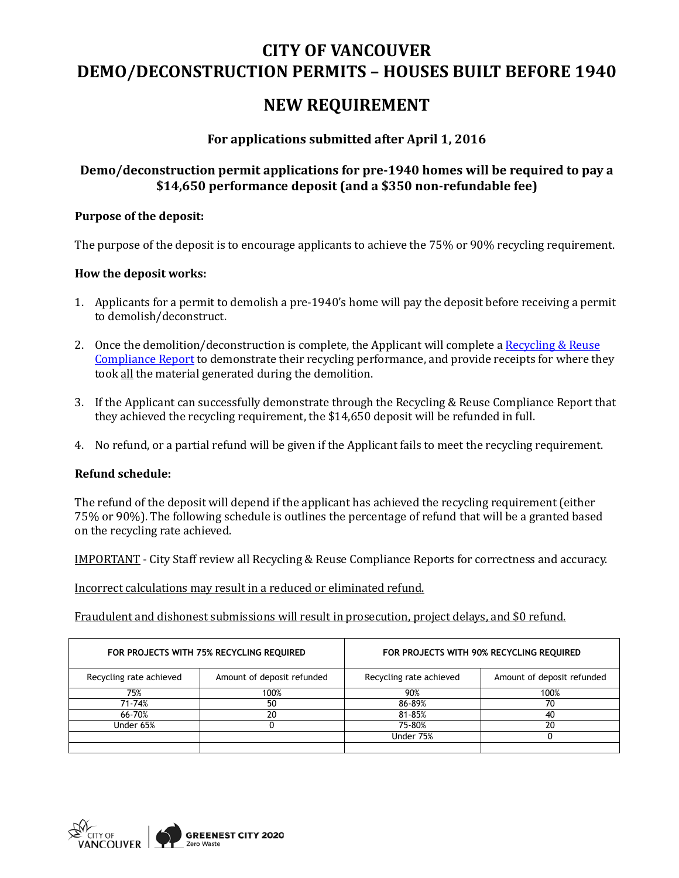# **CITY OF VANCOUVER DEMO/DECONSTRUCTION PERMITS – HOUSES BUILT BEFORE 1940**

# **NEW REQUIREMENT**

## **For applications submitted after April 1, 2016**

## **Demo/deconstruction permit applications for pre-1940 homes will be required to pay a \$14,650 performance deposit (and a \$350 non-refundable fee)**

### **Purpose of the deposit:**

The purpose of the deposit is to encourage applicants to achieve the 75% or 90% recycling requirement.

### **How the deposit works:**

- 1. Applicants for a permit to demolish a pre-1940's home will pay the deposit before receiving a permit to demolish/deconstruct.
- 2. Once the demolition/deconstruction is complete, the Applicant will complete a Recycling & Reuse [Compliance Report](http://vancouver.ca/files/cov/green-demolition-recycling-and-reuse-compliance-report.pdf) to demonstrate their recycling performance, and provide receipts for where they took all the material generated during the demolition.
- 3. If the Applicant can successfully demonstrate through the Recycling & Reuse Compliance Report that they achieved the recycling requirement, the \$14,650 deposit will be refunded in full.
- 4. No refund, or a partial refund will be given if the Applicant fails to meet the recycling requirement.

#### **Refund schedule:**

The refund of the deposit will depend if the applicant has achieved the recycling requirement (either 75% or 90%). The following schedule is outlines the percentage of refund that will be a granted based on the recycling rate achieved.

IMPORTANT - City Staff review all Recycling & Reuse Compliance Reports for correctness and accuracy.

Incorrect calculations may result in a reduced or eliminated refund.

Fraudulent and dishonest submissions will result in prosecution, project delays, and \$0 refund.

| FOR PROJECTS WITH 75% RECYCLING REQUIRED |                            | FOR PROJECTS WITH 90% RECYCLING REQUIRED |                            |
|------------------------------------------|----------------------------|------------------------------------------|----------------------------|
| Recycling rate achieved                  | Amount of deposit refunded | Recycling rate achieved                  | Amount of deposit refunded |
| 75%                                      | 100%                       | 90%                                      | 100%                       |
| 71-74%                                   | 50                         | 86-89%                                   | 70                         |
| 66-70%                                   | 20                         | 81-85%                                   | 40                         |
| Under 65%                                |                            | 75-80%                                   | 20                         |
|                                          |                            | Under 75%                                |                            |
|                                          |                            |                                          |                            |